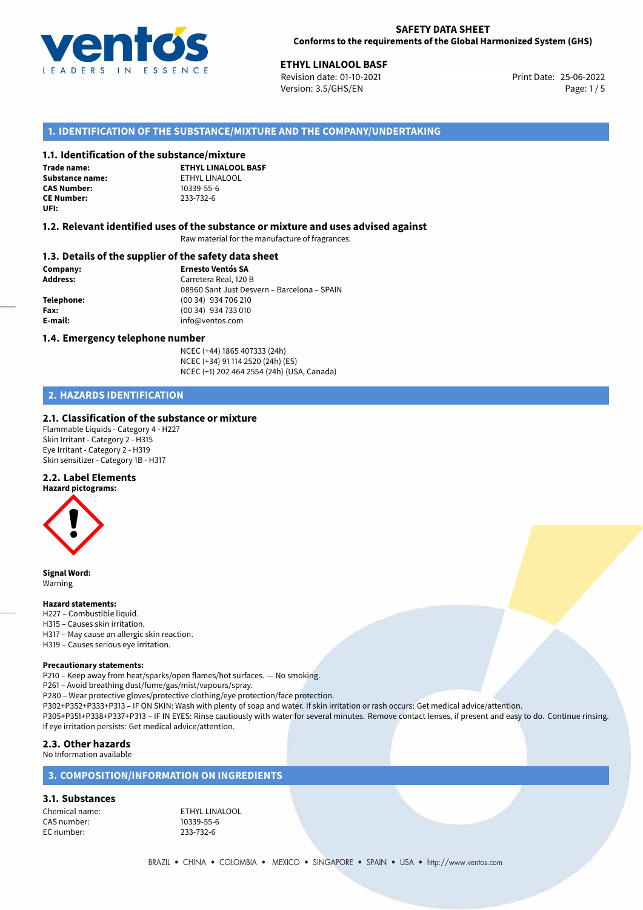

25-06-2022 **ETHYL LINALOOL BASF** Revision date: 01-10-2021 Print Date: Version: 3.5/GHS/EN Page: 1/5

# **1. IDENTIFICATION OF THE SUBSTANCE/MIXTURE AND THE COMPANY/UNDERTAKING**

#### **1.1. Identification of the substance/mixture**

**Trade name: CAS Number: CE Number:** 233-732-6 **UFI:**

**ETHYL LINALOOL BASF Substance name:** ETHYL LINALOOL<br> **CAS Number:** 10339-55-6

#### **1.2. Relevant identified uses of the substance or mixture and uses advised against**

Raw material for the manufacture of fragrances.

#### **1.3. Details of the supplier of the safety data sheet**

**Company: Ernesto Ventós SA Address:** Carretera Real, 120 B 08960 Sant Just Desvern – Barcelona – SPAIN **Telephone:** (00 34) 934 706 210 **Fax:** (00 34) 934 733 010 **E-mail:** info@ventos.com

#### **1.4. Emergency telephone number**

NCEC (+44) 1865 407333 (24h) NCEC (+34) 91 114 2520 (24h) (ES) NCEC (+1) 202 464 2554 (24h) (USA, Canada)

# **2. HAZARDS IDENTIFICATION**

#### **2.1. Classification of the substance or mixture**

Flammable Liquids - Category 4 - H227 Skin Irritant - Category 2 - H315 Eye Irritant - Category 2 - H319 Skin sensitizer - Category 1B - H317

### **2.2. Label Elements**



**Signal Word:** Warning

#### **Hazard statements:**

- H227 Combustible liquid.
- H315 Causes skin irritation.
- H317 May cause an allergic skin reaction.
- H319 Causes serious eye irritation.

#### **Precautionary statements:**

P210 – Keep away from heat/sparks/open flames/hot surfaces. — No smoking.

P261 – Avoid breathing dust/fume/gas/mist/vapours/spray.

P280 – Wear protective gloves/protective clothing/eye protection/face protection.

P302+P352+P333+P313 – IF ON SKIN: Wash with plenty of soap and water. If skin irritation or rash occurs: Get medical advice/attention.

P305+P351+P338+P337+P313 – IF IN EYES: Rinse cautiously with water for several minutes. Remove contact lenses, if present and easy to do. Continue rinsing. If eye irritation persists: Get medical advice/attention.

# **2.3. Other hazards**

No Information available

# **3. COMPOSITION/INFORMATION ON INGREDIENTS**

#### **3.1. Substances**

Chemical name:<br>
CAS number: 
ETHYL LINALOOL<br>
10339-55-6 CAS number: EC number: 233-732-6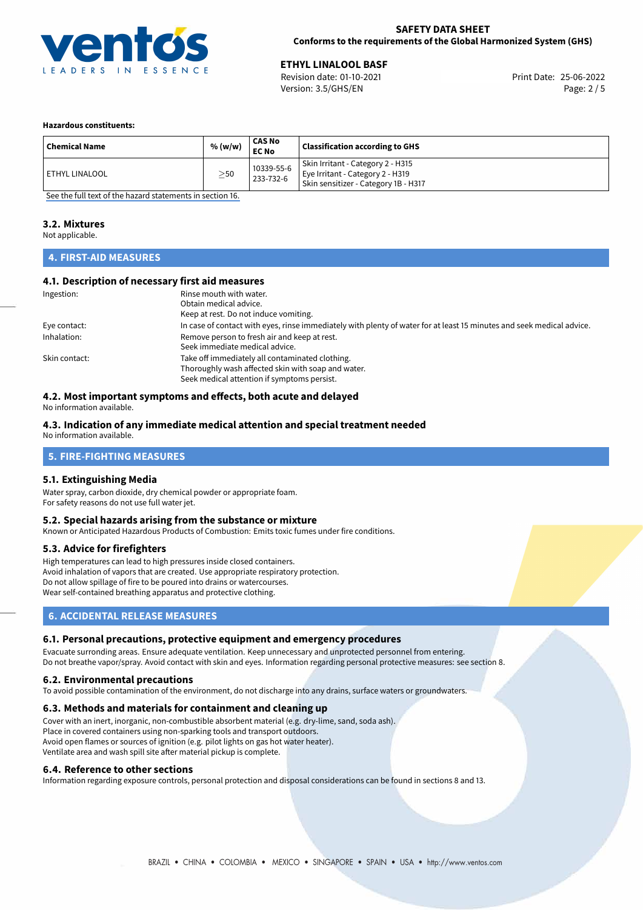

25-06-2022 **ETHYL LINALOOL BASF** Revision date: 01-10-2021 Print Date: Version: 3.5/GHS/EN Page: 2 / 5

#### **Hazardous constituents:**

| <b>Chemical Name</b>  | % (w/w)   | CAS No<br><b>EC No</b>  | <b>Classification according to GHS</b>                                                                        |
|-----------------------|-----------|-------------------------|---------------------------------------------------------------------------------------------------------------|
| <b>ETHYL LINALOOL</b> | $\geq$ 50 | 10339-55-6<br>233-732-6 | Skin Irritant - Category 2 - H315<br>Eye Irritant - Category 2 - H319<br>Skin sensitizer - Category 1B - H317 |

[See the full text of the hazard statements in section 16.](#page-4-0)

#### **3.2. Mixtures**

Not applicable.

# **4. FIRST-AID MEASURES**

#### **4.1. Description of necessary first aid measures**

| Ingestion:    | Rinse mouth with water.                                                                                               |  |  |
|---------------|-----------------------------------------------------------------------------------------------------------------------|--|--|
|               | Obtain medical advice.                                                                                                |  |  |
|               | Keep at rest. Do not induce vomiting.                                                                                 |  |  |
| Eye contact:  | In case of contact with eyes, rinse immediately with plenty of water for at least 15 minutes and seek medical advice. |  |  |
| Inhalation:   | Remove person to fresh air and keep at rest.                                                                          |  |  |
|               | Seek immediate medical advice.                                                                                        |  |  |
| Skin contact: | Take off immediately all contaminated clothing.                                                                       |  |  |
|               | Thoroughly wash affected skin with soap and water.                                                                    |  |  |
|               | Seek medical attention if symptoms persist.                                                                           |  |  |

### **4.2. Most important symptoms and effects, both acute and delayed**

No information available.

#### **4.3. Indication of any immediate medical attention and special treatment needed**

No information available.

# **5. FIRE-FIGHTING MEASURES**

#### **5.1. Extinguishing Media**

Water spray, carbon dioxide, dry chemical powder or appropriate foam. For safety reasons do not use full water jet.

#### **5.2. Special hazards arising from the substance or mixture**

Known or Anticipated Hazardous Products of Combustion: Emits toxic fumes under fire conditions.

#### **5.3. Advice for firefighters**

High temperatures can lead to high pressures inside closed containers. Avoid inhalation of vapors that are created. Use appropriate respiratory protection. Do not allow spillage of fire to be poured into drains or watercourses. Wear self-contained breathing apparatus and protective clothing.

### **6. ACCIDENTAL RELEASE MEASURES**

#### **6.1. Personal precautions, protective equipment and emergency procedures**

Evacuate surronding areas. Ensure adequate ventilation. Keep unnecessary and unprotected personnel from entering. Do not breathe vapor/spray. Avoid contact with skin and eyes. Information regarding personal protective measures: see section 8.

#### **6.2. Environmental precautions**

To avoid possible contamination of the environment, do not discharge into any drains, surface waters or groundwaters.

#### **6.3. Methods and materials for containment and cleaning up**

Cover with an inert, inorganic, non-combustible absorbent material (e.g. dry-lime, sand, soda ash). Place in covered containers using non-sparking tools and transport outdoors. Avoid open flames or sources of ignition (e.g. pilot lights on gas hot water heater). Ventilate area and wash spill site after material pickup is complete.

#### **6.4. Reference to other sections**

Information regarding exposure controls, personal protection and disposal considerations can be found in sections 8 and 13.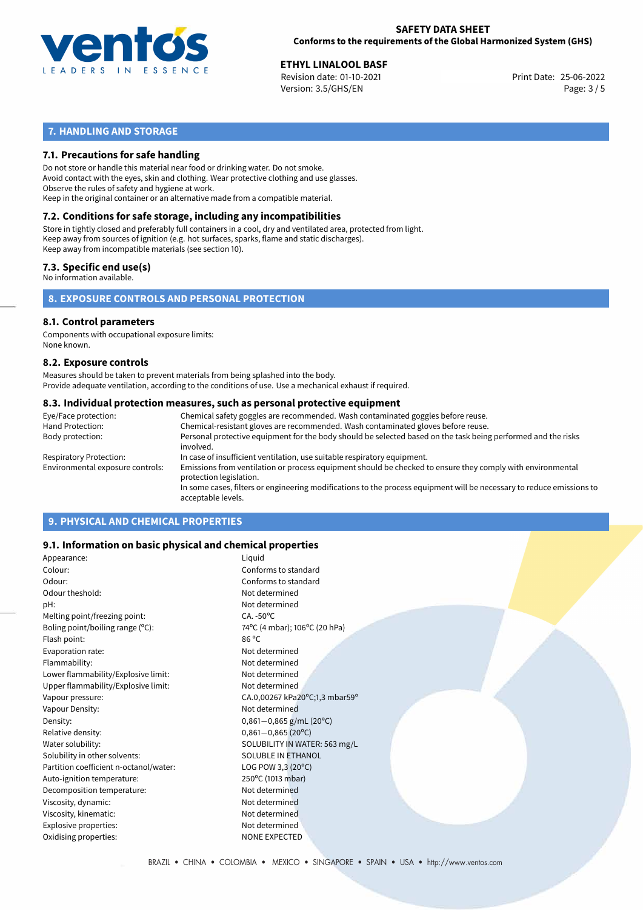

25-06-2022 **ETHYL LINALOOL BASF** Revision date: 01-10-2021 Print Date: Version: 3.5/GHS/EN Page: 3 / 5

# **7. HANDLING AND STORAGE**

### **7.1. Precautions for safe handling**

Do not store or handle this material near food or drinking water. Do not smoke. Avoid contact with the eyes, skin and clothing. Wear protective clothing and use glasses. Observe the rules of safety and hygiene at work. Keep in the original container or an alternative made from a compatible material.

# **7.2. Conditions for safe storage, including any incompatibilities**

Store in tightly closed and preferably full containers in a cool, dry and ventilated area, protected from light. Keep away from sources of ignition (e.g. hot surfaces, sparks, flame and static discharges). Keep away from incompatible materials (see section 10).

### **7.3. Specific end use(s)**

No information available.

**8. EXPOSURE CONTROLS AND PERSONAL PROTECTION**

# **8.1. Control parameters**

Components with occupational exposure limits: None known.

#### **8.2. Exposure controls**

Measures should be taken to prevent materials from being splashed into the body. Provide adequate ventilation, according to the conditions of use. Use a mechanical exhaust if required.

#### **8.3. Individual protection measures, such as personal protective equipment**

| Eye/Face protection:             | Chemical safety goggles are recommended. Wash contaminated goggles before reuse.                                                            |
|----------------------------------|---------------------------------------------------------------------------------------------------------------------------------------------|
| Hand Protection:                 | Chemical-resistant gloves are recommended. Wash contaminated gloves before reuse.                                                           |
| Body protection:                 | Personal protective equipment for the body should be selected based on the task being performed and the risks<br>involved.                  |
| Respiratory Protection:          | In case of insufficient ventilation, use suitable respiratory equipment.                                                                    |
| Environmental exposure controls: | Emissions from ventilation or process equipment should be checked to ensure they comply with environmental<br>protection legislation.       |
|                                  | In some cases, filters or engineering modifications to the process equipment will be necessary to reduce emissions to<br>acceptable levels. |
|                                  |                                                                                                                                             |

# **9. PHYSICAL AND CHEMICAL PROPERTIES**

#### **9.1. Information on basic physical and chemical properties**

| Appearance:                            | Liquid                         |  |
|----------------------------------------|--------------------------------|--|
| Colour:                                | Conforms to standard           |  |
| Odour:                                 | Conforms to standard           |  |
| Odour theshold:                        | Not determined                 |  |
| pH:                                    | Not determined                 |  |
| Melting point/freezing point:          | $CA. -50^{\circ}C$             |  |
| Boling point/boiling range $(°C)$ :    | 74°C (4 mbar); 106°C (20 hPa)  |  |
| Flash point:                           | $86^{\circ}$ C                 |  |
| Evaporation rate:                      | Not determined                 |  |
| Flammability:                          | Not determined                 |  |
| Lower flammability/Explosive limit:    | Not determined                 |  |
| Upper flammability/Explosive limit:    | Not determined                 |  |
| Vapour pressure:                       | CA.0,00267 kPa20°C;1,3 mbar59° |  |
| Vapour Density:                        | Not determined                 |  |
| Density:                               | $0,861 - 0,865$ g/mL (20°C)    |  |
| Relative density:                      | $0,861 - 0,865$ (20°C)         |  |
| Water solubility:                      | SOLUBILITY IN WATER: 563 mg/L  |  |
| Solubility in other solvents:          | SOLUBLE IN ETHANOL             |  |
| Partition coefficient n-octanol/water: | LOG POW 3,3 $(20^{\circ}C)$    |  |
| Auto-ignition temperature:             | 250°C (1013 mbar)              |  |
| Decomposition temperature:             | Not determined                 |  |
| Viscosity, dynamic:                    | Not determined                 |  |
| Viscosity, kinematic:                  | Not determined                 |  |
| Explosive properties:                  | Not determined                 |  |
| Oxidising properties:                  | <b>NONE EXPECTED</b>           |  |
|                                        |                                |  |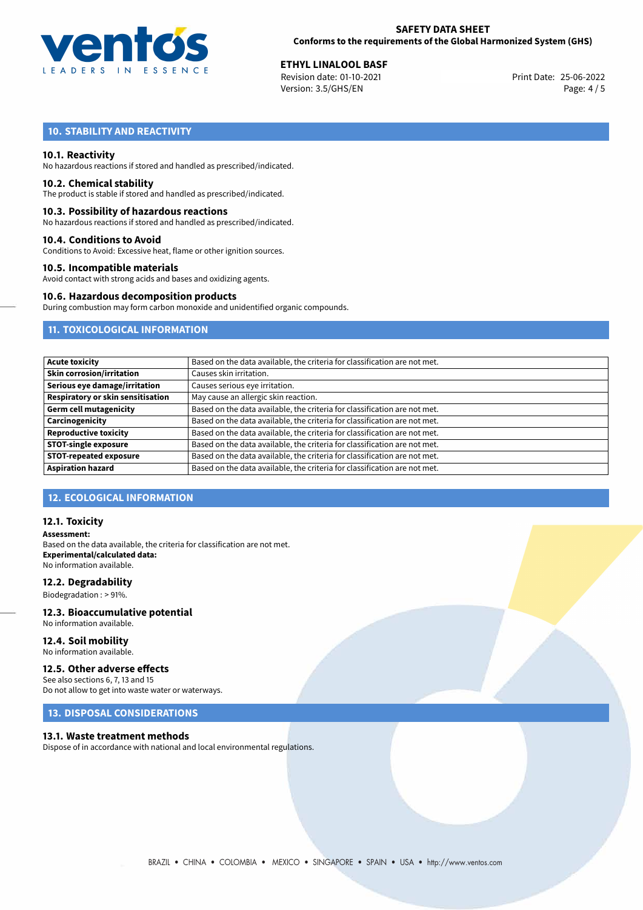

25-06-2022 **ETHYL LINALOOL BASF** Revision date: 01-10-2021 Print Date: Version: 3.5/GHS/EN Page: 4 / 5

# **10. STABILITY AND REACTIVITY**

#### **10.1. Reactivity**

No hazardous reactions if stored and handled as prescribed/indicated.

#### **10.2. Chemical stability**

The product is stable if stored and handled as prescribed/indicated.

#### **10.3. Possibility of hazardous reactions**

No hazardous reactions if stored and handled as prescribed/indicated.

#### **10.4. Conditions to Avoid**

Conditions to Avoid: Excessive heat, flame or other ignition sources.

#### **10.5. Incompatible materials**

Avoid contact with strong acids and bases and oxidizing agents.

#### **10.6. Hazardous decomposition products**

During combustion may form carbon monoxide and unidentified organic compounds.

# **11. TOXICOLOGICAL INFORMATION**

| <b>Acute toxicity</b>             | Based on the data available, the criteria for classification are not met. |
|-----------------------------------|---------------------------------------------------------------------------|
| <b>Skin corrosion/irritation</b>  | Causes skin irritation.                                                   |
| Serious eye damage/irritation     | Causes serious eye irritation.                                            |
| Respiratory or skin sensitisation | May cause an allergic skin reaction.                                      |
| <b>Germ cell mutagenicity</b>     | Based on the data available, the criteria for classification are not met. |
| Carcinogenicity                   | Based on the data available, the criteria for classification are not met. |
| <b>Reproductive toxicity</b>      | Based on the data available, the criteria for classification are not met. |
| <b>STOT-single exposure</b>       | Based on the data available, the criteria for classification are not met. |
| <b>STOT-repeated exposure</b>     | Based on the data available, the criteria for classification are not met. |
| <b>Aspiration hazard</b>          | Based on the data available, the criteria for classification are not met. |

# **12. ECOLOGICAL INFORMATION**

#### **12.1. Toxicity**

**Assessment:** Based on the data available, the criteria for classification are not met. **Experimental/calculated data:** No information available.

#### **12.2. Degradability**

Biodegradation : > 91%.

# **12.3. Bioaccumulative potential**

No information available.

**12.4. Soil mobility** No information available.

#### **12.5. Other adverse effects**

See also sections 6, 7, 13 and 15 Do not allow to get into waste water or waterways.

#### **13. DISPOSAL CONSIDERATIONS**

#### **13.1. Waste treatment methods**

Dispose of in accordance with national and local environmental regulations.